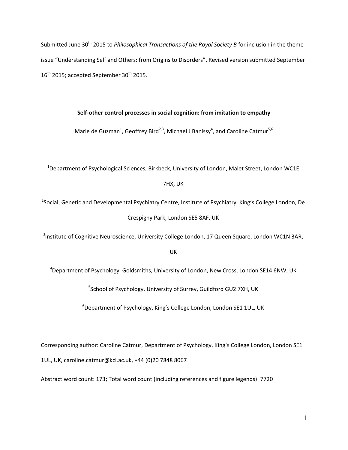Submitted June 30<sup>th</sup> 2015 to *Philosophical Transactions of the Royal Society B* for inclusion in the theme issue "Understanding Self and Others: from Origins to Disorders". Revised version submitted September  $16^{\text{th}}$  2015; accepted September 30<sup>th</sup> 2015.

# **Self-other control processes in social cognition: from imitation to empathy**

Marie de Guzman<sup>1</sup>, Geoffrey Bird<sup>2,3</sup>, Michael J Banissy<sup>4</sup>, and Caroline Catmur<sup>5,6</sup>

<sup>1</sup>Department of Psychological Sciences, Birkbeck, University of London, Malet Street, London WC1E

## 7HX, UK

<sup>2</sup>Social, Genetic and Developmental Psychiatry Centre, Institute of Psychiatry, King's College London, De Crespigny Park, London SE5 8AF, UK

<sup>3</sup>Institute of Cognitive Neuroscience, University College London, 17 Queen Square, London WC1N 3AR,

#### UK

 $4$ Department of Psychology, Goldsmiths, University of London, New Cross, London SE14 6NW, UK

<sup>5</sup>School of Psychology, University of Surrey, Guildford GU2 7XH, UK

 $6$ Department of Psychology, King's College London, London SE1 1UL, UK

Corresponding author: Caroline Catmur, Department of Psychology, King's College London, London SE1 1UL, UK, caroline.catmur@kcl.ac.uk, +44 (0)20 7848 8067

Abstract word count: 173; Total word count (including references and figure legends): 7720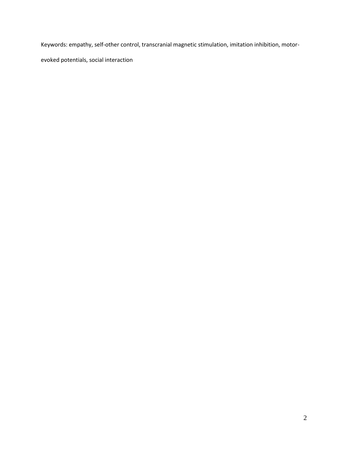Keywords: empathy, self-other control, transcranial magnetic stimulation, imitation inhibition, motor-

evoked potentials, social interaction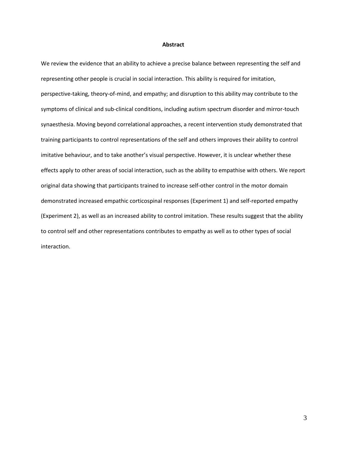#### **Abstract**

We review the evidence that an ability to achieve a precise balance between representing the self and representing other people is crucial in social interaction. This ability is required for imitation, perspective-taking, theory-of-mind, and empathy; and disruption to this ability may contribute to the symptoms of clinical and sub-clinical conditions, including autism spectrum disorder and mirror-touch synaesthesia. Moving beyond correlational approaches, a recent intervention study demonstrated that training participants to control representations of the self and others improves their ability to control imitative behaviour, and to take another's visual perspective. However, it is unclear whether these effects apply to other areas of social interaction, such as the ability to empathise with others. We report original data showing that participants trained to increase self-other control in the motor domain demonstrated increased empathic corticospinal responses (Experiment 1) and self-reported empathy (Experiment 2), as well as an increased ability to control imitation. These results suggest that the ability to control self and other representations contributes to empathy as well as to other types of social interaction.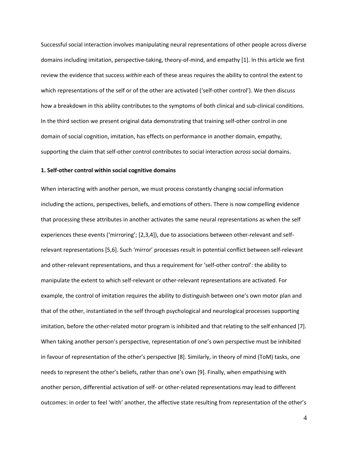Successful social interaction involves manipulating neural representations of other people across diverse domains including imitation, perspective-taking, theory-of-mind, and empathy [1]. In this article we first review the evidence that success *within* each of these areas requires the ability to control the extent to which representations of the self or of the other are activated ('self-other control'). We then discuss how a breakdown in this ability contributes to the symptoms of both clinical and sub-clinical conditions. In the third section we present original data demonstrating that training self-other control in one domain of social cognition, imitation, has effects on performance in another domain, empathy, supporting the claim that self-other control contributes to social interaction *across* social domains.

# **1. Self-other control within social cognitive domains**

When interacting with another person, we must process constantly changing social information including the actions, perspectives, beliefs, and emotions of others. There is now compelling evidence that processing these attributes in another activates the same neural representations as when the self experiences these events ('mirroring'; [2,3,4]), due to associations between other-relevant and selfrelevant representations [5,6]. Such 'mirror' processes result in potential conflict between self-relevant and other-relevant representations, and thus a requirement for 'self-other control': the ability to manipulate the extent to which self-relevant or other-relevant representations are activated. For example, the control of imitation requires the ability to distinguish between one's own motor plan and that of the other, instantiated in the self through psychological and neurological processes supporting imitation, before the other-related motor program is inhibited and that relating to the self enhanced [7]. When taking another person's perspective, representation of one's own perspective must be inhibited in favour of representation of the other's perspective [8]. Similarly, in theory of mind (ToM) tasks, one needs to represent the other's beliefs, rather than one's own [9]. Finally, when empathising with another person, differential activation of self- or other-related representations may lead to different outcomes: in order to feel 'with' another, the affective state resulting from representation of the other's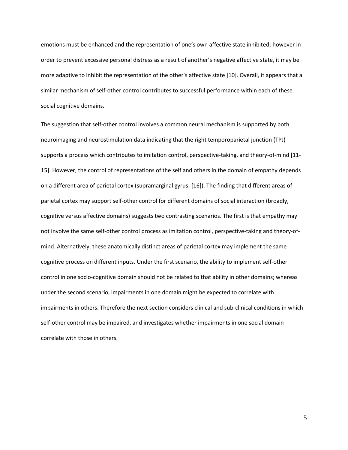emotions must be enhanced and the representation of one's own affective state inhibited; however in order to prevent excessive personal distress as a result of another's negative affective state, it may be more adaptive to inhibit the representation of the other's affective state [10]. Overall, it appears that a similar mechanism of self-other control contributes to successful performance within each of these social cognitive domains.

The suggestion that self-other control involves a common neural mechanism is supported by both neuroimaging and neurostimulation data indicating that the right temporoparietal junction (TPJ) supports a process which contributes to imitation control, perspective-taking, and theory-of-mind [11- 15]. However, the control of representations of the self and others in the domain of empathy depends on a different area of parietal cortex (supramarginal gyrus; [16]). The finding that different areas of parietal cortex may support self-other control for different domains of social interaction (broadly, cognitive versus affective domains) suggests two contrasting scenarios. The first is that empathy may not involve the same self-other control process as imitation control, perspective-taking and theory-ofmind. Alternatively, these anatomically distinct areas of parietal cortex may implement the same cognitive process on different inputs. Under the first scenario, the ability to implement self-other control in one socio-cognitive domain should not be related to that ability in other domains; whereas under the second scenario, impairments in one domain might be expected to correlate with impairments in others. Therefore the next section considers clinical and sub-clinical conditions in which self-other control may be impaired, and investigates whether impairments in one social domain correlate with those in others.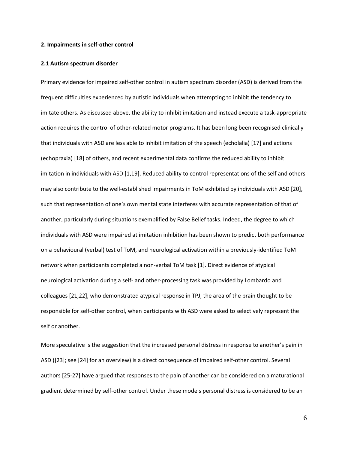#### **2. Impairments in self-other control**

#### **2.1 Autism spectrum disorder**

Primary evidence for impaired self-other control in autism spectrum disorder (ASD) is derived from the frequent difficulties experienced by autistic individuals when attempting to inhibit the tendency to imitate others. As discussed above, the ability to inhibit imitation and instead execute a task-appropriate action requires the control of other-related motor programs. It has been long been recognised clinically that individuals with ASD are less able to inhibit imitation of the speech (echolalia) [17] and actions (echopraxia) [18] of others, and recent experimental data confirms the reduced ability to inhibit imitation in individuals with ASD [1,19]. Reduced ability to control representations of the self and others may also contribute to the well-established impairments in ToM exhibited by individuals with ASD [20], such that representation of one's own mental state interferes with accurate representation of that of another, particularly during situations exemplified by False Belief tasks. Indeed, the degree to which individuals with ASD were impaired at imitation inhibition has been shown to predict both performance on a behavioural (verbal) test of ToM, and neurological activation within a previously-identified ToM network when participants completed a non-verbal ToM task [1]. Direct evidence of atypical neurological activation during a self- and other-processing task was provided by Lombardo and colleagues [21,22], who demonstrated atypical response in TPJ, the area of the brain thought to be responsible for self-other control, when participants with ASD were asked to selectively represent the self or another.

More speculative is the suggestion that the increased personal distress in response to another's pain in ASD ([23]; see [24] for an overview) is a direct consequence of impaired self-other control. Several authors [25-27] have argued that responses to the pain of another can be considered on a maturational gradient determined by self-other control. Under these models personal distress is considered to be an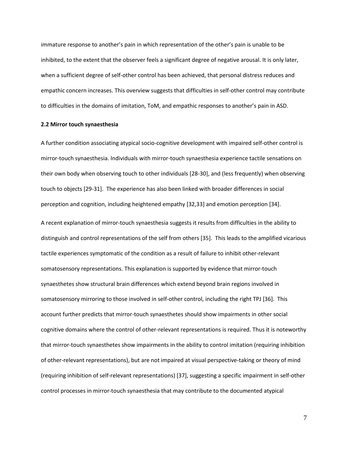immature response to another's pain in which representation of the other's pain is unable to be inhibited, to the extent that the observer feels a significant degree of negative arousal. It is only later, when a sufficient degree of self-other control has been achieved, that personal distress reduces and empathic concern increases. This overview suggests that difficulties in self-other control may contribute to difficulties in the domains of imitation, ToM, and empathic responses to another's pain in ASD.

#### **2.2 Mirror touch synaesthesia**

A further condition associating atypical socio-cognitive development with impaired self-other control is mirror-touch synaesthesia. Individuals with mirror-touch synaesthesia experience tactile sensations on their own body when observing touch to other individuals [28-30], and (less frequently) when observing touch to objects [29-31]. The experience has also been linked with broader differences in social perception and cognition, including heightened empathy [32,33] and emotion perception [34].

A recent explanation of mirror-touch synaesthesia suggests it results from difficulties in the ability to distinguish and control representations of the self from others [35]. This leads to the amplified vicarious tactile experiences symptomatic of the condition as a result of failure to inhibit other-relevant somatosensory representations. This explanation is supported by evidence that mirror-touch synaesthetes show structural brain differences which extend beyond brain regions involved in somatosensory mirroring to those involved in self-other control, including the right TPJ [36]. This account further predicts that mirror-touch synaesthetes should show impairments in other social cognitive domains where the control of other-relevant representations is required. Thus it is noteworthy that mirror-touch synaesthetes show impairments in the ability to control imitation (requiring inhibition of other-relevant representations), but are not impaired at visual perspective-taking or theory of mind (requiring inhibition of self-relevant representations) [37], suggesting a specific impairment in self-other control processes in mirror-touch synaesthesia that may contribute to the documented atypical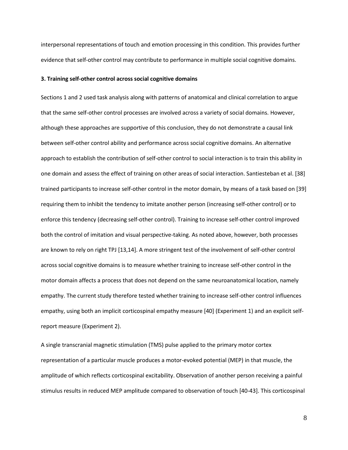interpersonal representations of touch and emotion processing in this condition. This provides further evidence that self-other control may contribute to performance in multiple social cognitive domains.

#### **3. Training self-other control across social cognitive domains**

Sections 1 and 2 used task analysis along with patterns of anatomical and clinical correlation to argue that the same self-other control processes are involved across a variety of social domains. However, although these approaches are supportive of this conclusion, they do not demonstrate a causal link between self-other control ability and performance across social cognitive domains. An alternative approach to establish the contribution of self-other control to social interaction is to train this ability in one domain and assess the effect of training on other areas of social interaction. Santiesteban et al. [38] trained participants to increase self-other control in the motor domain, by means of a task based on [39] requiring them to inhibit the tendency to imitate another person (increasing self-other control) or to enforce this tendency (decreasing self-other control). Training to increase self-other control improved both the control of imitation and visual perspective-taking. As noted above, however, both processes are known to rely on right TPJ [13,14]. A more stringent test of the involvement of self-other control across social cognitive domains is to measure whether training to increase self-other control in the motor domain affects a process that does not depend on the same neuroanatomical location, namely empathy. The current study therefore tested whether training to increase self-other control influences empathy, using both an implicit corticospinal empathy measure [40] (Experiment 1) and an explicit selfreport measure (Experiment 2).

A single transcranial magnetic stimulation (TMS) pulse applied to the primary motor cortex representation of a particular muscle produces a motor-evoked potential (MEP) in that muscle, the amplitude of which reflects corticospinal excitability. Observation of another person receiving a painful stimulus results in reduced MEP amplitude compared to observation of touch [40-43]. This corticospinal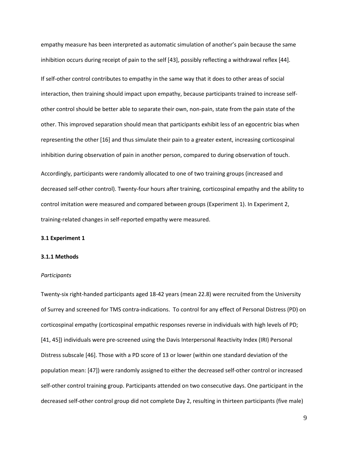empathy measure has been interpreted as automatic simulation of another's pain because the same inhibition occurs during receipt of pain to the self [43], possibly reflecting a withdrawal reflex [44].

If self-other control contributes to empathy in the same way that it does to other areas of social interaction, then training should impact upon empathy, because participants trained to increase selfother control should be better able to separate their own, non-pain, state from the pain state of the other. This improved separation should mean that participants exhibit less of an egocentric bias when representing the other [16] and thus simulate their pain to a greater extent, increasing corticospinal inhibition during observation of pain in another person, compared to during observation of touch.

Accordingly, participants were randomly allocated to one of two training groups (increased and decreased self-other control). Twenty-four hours after training, corticospinal empathy and the ability to control imitation were measured and compared between groups (Experiment 1). In Experiment 2, training-related changes in self-reported empathy were measured.

#### **3.1 Experiment 1**

## **3.1.1 Methods**

#### *Participants*

Twenty-six right-handed participants aged 18-42 years (mean 22.8) were recruited from the University of Surrey and screened for TMS contra-indications. To control for any effect of Personal Distress (PD) on corticospinal empathy (corticospinal empathic responses reverse in individuals with high levels of PD; [41, 45]) individuals were pre-screened using the Davis Interpersonal Reactivity Index (IRI) Personal Distress subscale [46]. Those with a PD score of 13 or lower (within one standard deviation of the population mean: [47]) were randomly assigned to either the decreased self-other control or increased self-other control training group. Participants attended on two consecutive days. One participant in the decreased self-other control group did not complete Day 2, resulting in thirteen participants (five male)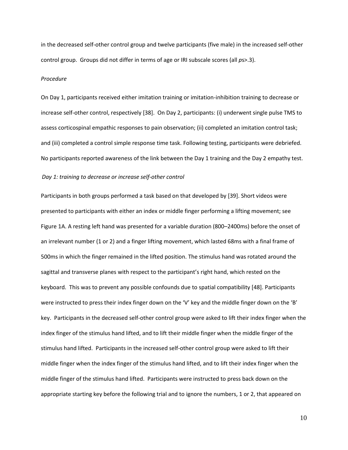in the decreased self-other control group and twelve participants (five male) in the increased self-other control group. Groups did not differ in terms of age or IRI subscale scores (all *p*s>.3).

#### *Procedure*

On Day 1, participants received either imitation training or imitation-inhibition training to decrease or increase self-other control, respectively [38]. On Day 2, participants: (i) underwent single pulse TMS to assess corticospinal empathic responses to pain observation; (ii) completed an imitation control task; and (iii) completed a control simple response time task. Following testing, participants were debriefed. No participants reported awareness of the link between the Day 1 training and the Day 2 empathy test.

#### *Day 1: training to decrease or increase self-other control*

Participants in both groups performed a task based on that developed by [39]. Short videos were presented to participants with either an index or middle finger performing a lifting movement; see Figure 1A. A resting left hand was presented for a variable duration (800–2400ms) before the onset of an irrelevant number (1 or 2) and a finger lifting movement, which lasted 68ms with a final frame of 500ms in which the finger remained in the lifted position. The stimulus hand was rotated around the sagittal and transverse planes with respect to the participant's right hand, which rested on the keyboard. This was to prevent any possible confounds due to spatial compatibility [48]. Participants were instructed to press their index finger down on the 'V' key and the middle finger down on the 'B' key. Participants in the decreased self-other control group were asked to lift their index finger when the index finger of the stimulus hand lifted, and to lift their middle finger when the middle finger of the stimulus hand lifted. Participants in the increased self-other control group were asked to lift their middle finger when the index finger of the stimulus hand lifted, and to lift their index finger when the middle finger of the stimulus hand lifted. Participants were instructed to press back down on the appropriate starting key before the following trial and to ignore the numbers, 1 or 2, that appeared on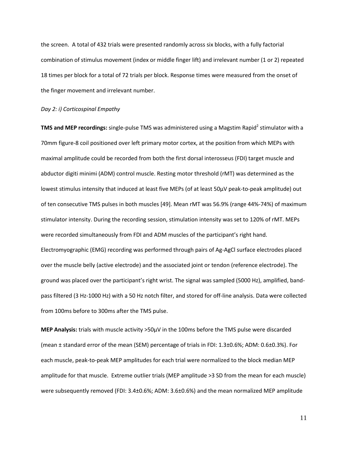the screen. A total of 432 trials were presented randomly across six blocks, with a fully factorial combination of stimulus movement (index or middle finger lift) and irrelevant number (1 or 2) repeated 18 times per block for a total of 72 trials per block. Response times were measured from the onset of the finger movement and irrelevant number.

#### *Day 2: i) Corticospinal Empathy*

**TMS and MEP recordings:** single-pulse TMS was administered using a Magstim Rapid<sup>2</sup> stimulator with a 70mm figure-8 coil positioned over left primary motor cortex, at the position from which MEPs with maximal amplitude could be recorded from both the first dorsal interosseus (FDI) target muscle and abductor digiti minimi (ADM) control muscle. Resting motor threshold (rMT) was determined as the lowest stimulus intensity that induced at least five MEPs (of at least 50μV peak-to-peak amplitude) out of ten consecutive TMS pulses in both muscles [49]. Mean rMT was 56.9% (range 44%-74%) of maximum stimulator intensity. During the recording session, stimulation intensity was set to 120% of rMT. MEPs were recorded simultaneously from FDI and ADM muscles of the participant's right hand. Electromyographic (EMG) recording was performed through pairs of Ag-AgCl surface electrodes placed over the muscle belly (active electrode) and the associated joint or tendon (reference electrode). The ground was placed over the participant's right wrist. The signal was sampled (5000 Hz), amplified, bandpass filtered (3 Hz-1000 Hz) with a 50 Hz notch filter, and stored for off-line analysis. Data were collected from 100ms before to 300ms after the TMS pulse.

**MEP Analysis:** trials with muscle activity >50μV in the 100ms before the TMS pulse were discarded (mean ± standard error of the mean (SEM) percentage of trials in FDI: 1.3±0.6%; ADM: 0.6±0.3%). For each muscle, peak-to-peak MEP amplitudes for each trial were normalized to the block median MEP amplitude for that muscle. Extreme outlier trials (MEP amplitude >3 SD from the mean for each muscle) were subsequently removed (FDI: 3.4±0.6%; ADM: 3.6±0.6%) and the mean normalized MEP amplitude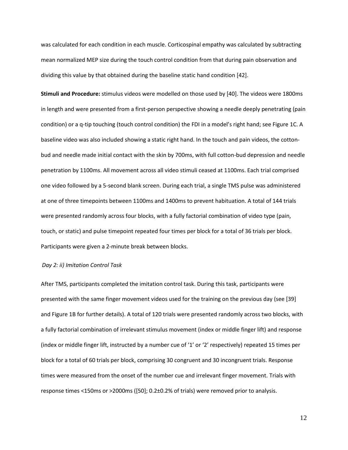was calculated for each condition in each muscle. Corticospinal empathy was calculated by subtracting mean normalized MEP size during the touch control condition from that during pain observation and dividing this value by that obtained during the baseline static hand condition [42].

**Stimuli and Procedure:** stimulus videos were modelled on those used by [40]. The videos were 1800ms in length and were presented from a first-person perspective showing a needle deeply penetrating (pain condition) or a q-tip touching (touch control condition) the FDI in a model's right hand; see Figure 1C. A baseline video was also included showing a static right hand. In the touch and pain videos, the cottonbud and needle made initial contact with the skin by 700ms, with full cotton-bud depression and needle penetration by 1100ms. All movement across all video stimuli ceased at 1100ms. Each trial comprised one video followed by a 5-second blank screen. During each trial, a single TMS pulse was administered at one of three timepoints between 1100ms and 1400ms to prevent habituation. A total of 144 trials were presented randomly across four blocks, with a fully factorial combination of video type (pain, touch, or static) and pulse timepoint repeated four times per block for a total of 36 trials per block. Participants were given a 2-minute break between blocks.

## *Day 2: ii) Imitation Control Task*

After TMS, participants completed the imitation control task. During this task, participants were presented with the same finger movement videos used for the training on the previous day (see [39] and Figure 1B for further details). A total of 120 trials were presented randomly across two blocks, with a fully factorial combination of irrelevant stimulus movement (index or middle finger lift) and response (index or middle finger lift, instructed by a number cue of '1' or '2' respectively) repeated 15 times per block for a total of 60 trials per block, comprising 30 congruent and 30 incongruent trials. Response times were measured from the onset of the number cue and irrelevant finger movement. Trials with response times <150ms or >2000ms ([50]; 0.2±0.2% of trials) were removed prior to analysis.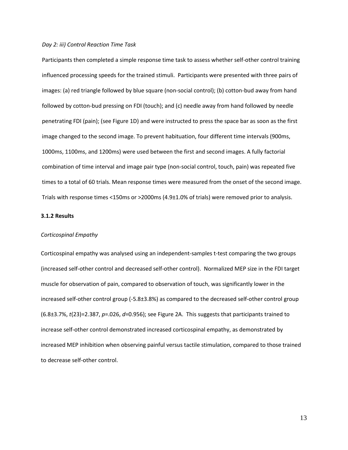#### *Day 2: iii) Control Reaction Time Task*

Participants then completed a simple response time task to assess whether self-other control training influenced processing speeds for the trained stimuli. Participants were presented with three pairs of images: (a) red triangle followed by blue square (non-social control); (b) cotton-bud away from hand followed by cotton-bud pressing on FDI (touch); and (c) needle away from hand followed by needle penetrating FDI (pain); (see Figure 1D) and were instructed to press the space bar as soon as the first image changed to the second image. To prevent habituation, four different time intervals (900ms, 1000ms, 1100ms, and 1200ms) were used between the first and second images. A fully factorial combination of time interval and image pair type (non-social control, touch, pain) was repeated five times to a total of 60 trials. Mean response times were measured from the onset of the second image. Trials with response times <150ms or >2000ms (4.9±1.0% of trials) were removed prior to analysis.

## **3.1.2 Results**

#### *Corticospinal Empathy*

Corticospinal empathy was analysed using an independent-samples t-test comparing the two groups (increased self-other control and decreased self-other control). Normalized MEP size in the FDI target muscle for observation of pain, compared to observation of touch, was significantly lower in the increased self-other control group (-5.8±3.8%) as compared to the decreased self-other control group (6.8±3.7%, *t*(23)=2.387, *p*=.026, *d*=0.956); see Figure 2A. This suggests that participants trained to increase self-other control demonstrated increased corticospinal empathy, as demonstrated by increased MEP inhibition when observing painful versus tactile stimulation, compared to those trained to decrease self-other control.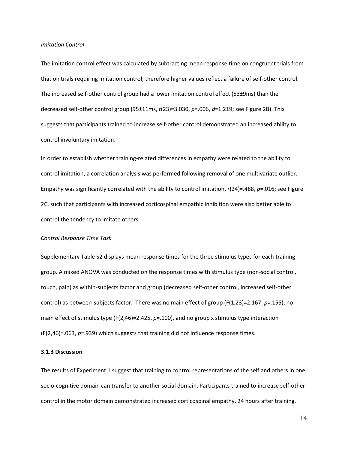#### *Imitation Control*

The imitation control effect was calculated by subtracting mean response time on congruent trials from that on trials requiring imitation control; therefore higher values reflect a failure of self-other control. The increased self-other control group had a lower imitation control effect (53±9ms) than the decreased self-other control group (95±11ms, *t*(23)=3.030, *p*=.006, *d*=1.219; see Figure 2B). This suggests that participants trained to increase self-other control demonstrated an increased ability to control involuntary imitation.

In order to establish whether training-related differences in empathy were related to the ability to control imitation, a correlation analysis was performed following removal of one multivariate outlier. Empathy was significantly correlated with the ability to control imitation, *r*(24)=.488, *p*=.016; see Figure 2C, such that participants with increased corticospinal empathic inhibition were also better able to control the tendency to imitate others.

#### *Control Response Time Task*

Supplementary Table S2 displays mean response times for the three stimulus types for each training group. A mixed ANOVA was conducted on the response times with stimulus type (non-social control, touch, pain) as within-subjects factor and group (decreased self-other control, increased self-other control) as between-subjects factor. There was no main effect of group (F(1,23)=2.167, *p*=.155), no main effect of stimulus type (F(2,46)=2.425, *p*=.100), and no group x stimulus type interaction (F(2,46)=.063, *p*=.939) which suggests that training did not influence response times.

#### **3.1.3 Discussion**

The results of Experiment 1 suggest that training to control representations of the self and others in one socio-cognitive domain can transfer to another social domain. Participants trained to increase self-other control in the motor domain demonstrated increased corticospinal empathy, 24 hours after training,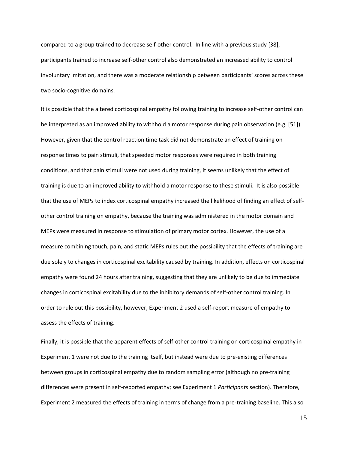compared to a group trained to decrease self-other control. In line with a previous study [38], participants trained to increase self-other control also demonstrated an increased ability to control involuntary imitation, and there was a moderate relationship between participants' scores across these two socio-cognitive domains.

It is possible that the altered corticospinal empathy following training to increase self-other control can be interpreted as an improved ability to withhold a motor response during pain observation (e.g. [51]). However, given that the control reaction time task did not demonstrate an effect of training on response times to pain stimuli, that speeded motor responses were required in both training conditions, and that pain stimuli were not used during training, it seems unlikely that the effect of training is due to an improved ability to withhold a motor response to these stimuli. It is also possible that the use of MEPs to index corticospinal empathy increased the likelihood of finding an effect of selfother control training on empathy, because the training was administered in the motor domain and MEPs were measured in response to stimulation of primary motor cortex. However, the use of a measure combining touch, pain, and static MEPs rules out the possibility that the effects of training are due solely to changes in corticospinal excitability caused by training. In addition, effects on corticospinal empathy were found 24 hours after training, suggesting that they are unlikely to be due to immediate changes in corticospinal excitability due to the inhibitory demands of self-other control training. In order to rule out this possibility, however, Experiment 2 used a self-report measure of empathy to assess the effects of training.

Finally, it is possible that the apparent effects of self-other control training on corticospinal empathy in Experiment 1 were not due to the training itself, but instead were due to pre-existing differences between groups in corticospinal empathy due to random sampling error (although no pre-training differences were present in self-reported empathy; see Experiment 1 *Participants* section). Therefore, Experiment 2 measured the effects of training in terms of change from a pre-training baseline. This also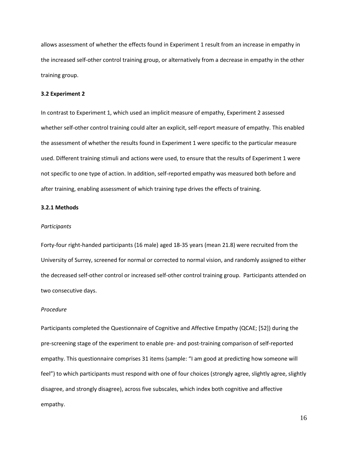allows assessment of whether the effects found in Experiment 1 result from an increase in empathy in the increased self-other control training group, or alternatively from a decrease in empathy in the other training group.

# **3.2 Experiment 2**

In contrast to Experiment 1, which used an implicit measure of empathy, Experiment 2 assessed whether self-other control training could alter an explicit, self-report measure of empathy. This enabled the assessment of whether the results found in Experiment 1 were specific to the particular measure used. Different training stimuli and actions were used, to ensure that the results of Experiment 1 were not specific to one type of action. In addition, self-reported empathy was measured both before and after training, enabling assessment of which training type drives the effects of training.

## **3.2.1 Methods**

#### *Participants*

Forty-four right-handed participants (16 male) aged 18-35 years (mean 21.8) were recruited from the University of Surrey, screened for normal or corrected to normal vision, and randomly assigned to either the decreased self-other control or increased self-other control training group. Participants attended on two consecutive days.

## *Procedure*

Participants completed the Questionnaire of Cognitive and Affective Empathy (QCAE; [52]) during the pre-screening stage of the experiment to enable pre- and post-training comparison of self-reported empathy. This questionnaire comprises 31 items (sample: "I am good at predicting how someone will feel") to which participants must respond with one of four choices (strongly agree, slightly agree, slightly disagree, and strongly disagree), across five subscales, which index both cognitive and affective empathy.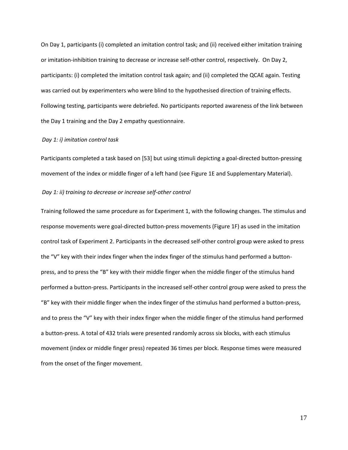On Day 1, participants (i) completed an imitation control task; and (ii) received either imitation training or imitation-inhibition training to decrease or increase self-other control, respectively. On Day 2, participants: (i) completed the imitation control task again; and (ii) completed the QCAE again. Testing was carried out by experimenters who were blind to the hypothesised direction of training effects. Following testing, participants were debriefed. No participants reported awareness of the link between the Day 1 training and the Day 2 empathy questionnaire.

#### *Day 1: i) imitation control task*

Participants completed a task based on [53] but using stimuli depicting a goal-directed button-pressing movement of the index or middle finger of a left hand (see Figure 1E and Supplementary Material).

## *Day 1: ii) training to decrease or increase self-other control*

Training followed the same procedure as for Experiment 1, with the following changes. The stimulus and response movements were goal-directed button-press movements (Figure 1F) as used in the imitation control task of Experiment 2. Participants in the decreased self-other control group were asked to press the "V" key with their index finger when the index finger of the stimulus hand performed a buttonpress, and to press the "B" key with their middle finger when the middle finger of the stimulus hand performed a button-press. Participants in the increased self-other control group were asked to press the "B" key with their middle finger when the index finger of the stimulus hand performed a button-press, and to press the "V" key with their index finger when the middle finger of the stimulus hand performed a button-press. A total of 432 trials were presented randomly across six blocks, with each stimulus movement (index or middle finger press) repeated 36 times per block. Response times were measured from the onset of the finger movement.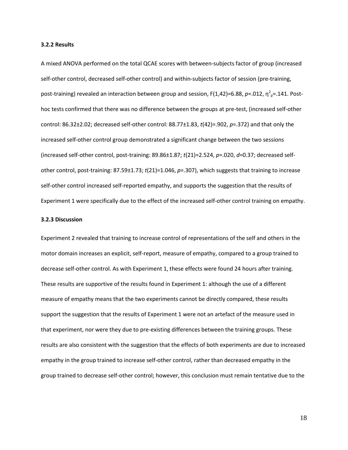#### **3.2.2 Results**

A mixed ANOVA performed on the total QCAE scores with between-subjects factor of group (increased self-other control, decreased self-other control) and within-subjects factor of session (pre-training, post-training) revealed an interaction between group and session, F(1,42)=6.88, *p*=.012, η<sup>2</sup><sub>ρ</sub>=.141. Posthoc tests confirmed that there was no difference between the groups at pre-test, (increased self-other control: 86.32±2.02; decreased self-other control: 88.77±1.83, *t*(42)=.902, *p*=.372) and that only the increased self-other control group demonstrated a significant change between the two sessions (increased self-other control, post-training: 89.86±1.87; *t*(21)=2.524, *p*=.020, *d*=0.37; decreased selfother control, post-training: 87.59±1.73; *t*(21)=1.046, *p*=.307), which suggests that training to increase self-other control increased self-reported empathy, and supports the suggestion that the results of Experiment 1 were specifically due to the effect of the increased self-other control training on empathy.

#### **3.2.3 Discussion**

Experiment 2 revealed that training to increase control of representations of the self and others in the motor domain increases an explicit, self-report, measure of empathy, compared to a group trained to decrease self-other control. As with Experiment 1, these effects were found 24 hours after training. These results are supportive of the results found in Experiment 1: although the use of a different measure of empathy means that the two experiments cannot be directly compared, these results support the suggestion that the results of Experiment 1 were not an artefact of the measure used in that experiment, nor were they due to pre-existing differences between the training groups. These results are also consistent with the suggestion that the effects of both experiments are due to increased empathy in the group trained to increase self-other control, rather than decreased empathy in the group trained to decrease self-other control; however, this conclusion must remain tentative due to the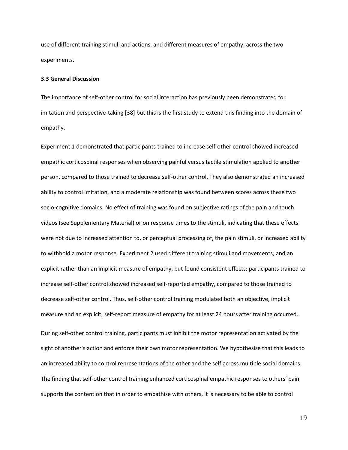use of different training stimuli and actions, and different measures of empathy, across the two experiments.

#### **3.3 General Discussion**

The importance of self-other control for social interaction has previously been demonstrated for imitation and perspective-taking [38] but this is the first study to extend this finding into the domain of empathy.

Experiment 1 demonstrated that participants trained to increase self-other control showed increased empathic corticospinal responses when observing painful versus tactile stimulation applied to another person, compared to those trained to decrease self-other control. They also demonstrated an increased ability to control imitation, and a moderate relationship was found between scores across these two socio-cognitive domains. No effect of training was found on subjective ratings of the pain and touch videos (see Supplementary Material) or on response times to the stimuli, indicating that these effects were not due to increased attention to, or perceptual processing of, the pain stimuli, or increased ability to withhold a motor response. Experiment 2 used different training stimuli and movements, and an explicit rather than an implicit measure of empathy, but found consistent effects: participants trained to increase self-other control showed increased self-reported empathy, compared to those trained to decrease self-other control. Thus, self-other control training modulated both an objective, implicit measure and an explicit, self-report measure of empathy for at least 24 hours after training occurred. During self-other control training, participants must inhibit the motor representation activated by the sight of another's action and enforce their own motor representation. We hypothesise that this leads to an increased ability to control representations of the other and the self across multiple social domains. The finding that self-other control training enhanced corticospinal empathic responses to others' pain supports the contention that in order to empathise with others, it is necessary to be able to control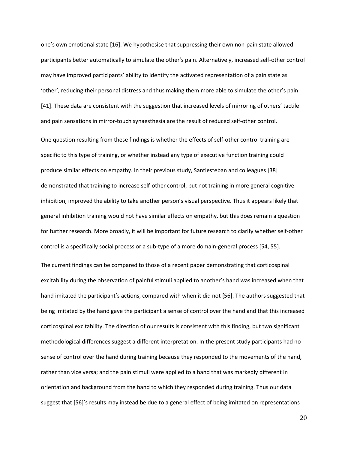one's own emotional state [16]. We hypothesise that suppressing their own non-pain state allowed participants better automatically to simulate the other's pain. Alternatively, increased self-other control may have improved participants' ability to identify the activated representation of a pain state as 'other', reducing their personal distress and thus making them more able to simulate the other's pain [41]. These data are consistent with the suggestion that increased levels of mirroring of others' tactile and pain sensations in mirror-touch synaesthesia are the result of reduced self-other control.

One question resulting from these findings is whether the effects of self-other control training are specific to this type of training, or whether instead any type of executive function training could produce similar effects on empathy. In their previous study, Santiesteban and colleagues [38] demonstrated that training to increase self-other control, but not training in more general cognitive inhibition, improved the ability to take another person's visual perspective. Thus it appears likely that general inhibition training would not have similar effects on empathy, but this does remain a question for further research. More broadly, it will be important for future research to clarify whether self-other control is a specifically social process or a sub-type of a more domain-general process [54, 55].

The current findings can be compared to those of a recent paper demonstrating that corticospinal excitability during the observation of painful stimuli applied to another's hand was increased when that hand imitated the participant's actions, compared with when it did not [56]. The authors suggested that being imitated by the hand gave the participant a sense of control over the hand and that this increased corticospinal excitability. The direction of our results is consistent with this finding, but two significant methodological differences suggest a different interpretation. In the present study participants had no sense of control over the hand during training because they responded to the movements of the hand, rather than vice versa; and the pain stimuli were applied to a hand that was markedly different in orientation and background from the hand to which they responded during training. Thus our data suggest that [56]'s results may instead be due to a general effect of being imitated on representations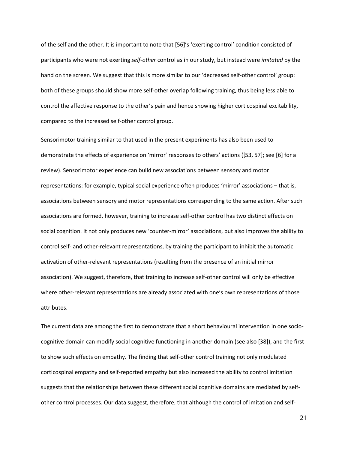of the self and the other. It is important to note that [56]'s 'exerting control' condition consisted of participants who were not exerting *self-other* control as in our study, but instead were *imitated* by the hand on the screen. We suggest that this is more similar to our 'decreased self-other control' group: both of these groups should show more self-other overlap following training, thus being less able to control the affective response to the other's pain and hence showing higher corticospinal excitability, compared to the increased self-other control group.

Sensorimotor training similar to that used in the present experiments has also been used to demonstrate the effects of experience on 'mirror' responses to others' actions ([53, 57]; see [6] for a review). Sensorimotor experience can build new associations between sensory and motor representations: for example, typical social experience often produces 'mirror' associations – that is, associations between sensory and motor representations corresponding to the same action. After such associations are formed, however, training to increase self-other control has two distinct effects on social cognition. It not only produces new 'counter-mirror' associations, but also improves the ability to control self- and other-relevant representations, by training the participant to inhibit the automatic activation of other-relevant representations (resulting from the presence of an initial mirror association). We suggest, therefore, that training to increase self-other control will only be effective where other-relevant representations are already associated with one's own representations of those attributes.

The current data are among the first to demonstrate that a short behavioural intervention in one sociocognitive domain can modify social cognitive functioning in another domain (see also [38]), and the first to show such effects on empathy. The finding that self-other control training not only modulated corticospinal empathy and self-reported empathy but also increased the ability to control imitation suggests that the relationships between these different social cognitive domains are mediated by selfother control processes. Our data suggest, therefore, that although the control of imitation and self-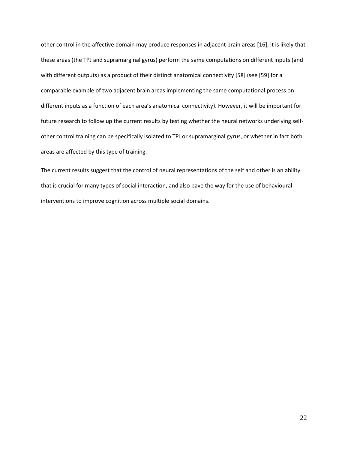other control in the affective domain may produce responses in adjacent brain areas [16], it is likely that these areas (the TPJ and supramarginal gyrus) perform the same computations on different inputs (and with different outputs) as a product of their distinct anatomical connectivity [58] (see [59] for a comparable example of two adjacent brain areas implementing the same computational process on different inputs as a function of each area's anatomical connectivity). However, it will be important for future research to follow up the current results by testing whether the neural networks underlying selfother control training can be specifically isolated to TPJ or supramarginal gyrus, or whether in fact both areas are affected by this type of training.

The current results suggest that the control of neural representations of the self and other is an ability that is crucial for many types of social interaction, and also pave the way for the use of behavioural interventions to improve cognition across multiple social domains.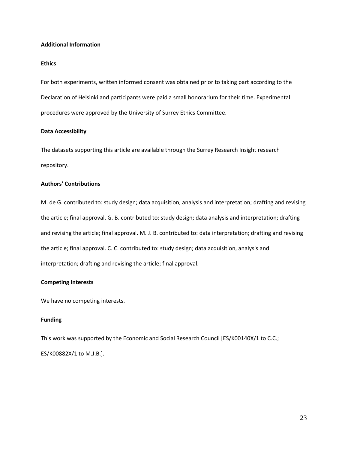## **Additional Information**

# **Ethics**

For both experiments, written informed consent was obtained prior to taking part according to the Declaration of Helsinki and participants were paid a small honorarium for their time. Experimental procedures were approved by the University of Surrey Ethics Committee.

## **Data Accessibility**

The datasets supporting this article are available through the Surrey Research Insight research repository.

## **Authors' Contributions**

M. de G. contributed to: study design; data acquisition, analysis and interpretation; drafting and revising the article; final approval. G. B. contributed to: study design; data analysis and interpretation; drafting and revising the article; final approval. M. J. B. contributed to: data interpretation; drafting and revising the article; final approval. C. C. contributed to: study design; data acquisition, analysis and interpretation; drafting and revising the article; final approval.

## **Competing Interests**

We have no competing interests.

# **Funding**

This work was supported by the Economic and Social Research Council [ES/K00140X/1 to C.C.; ES/K00882X/1 to M.J.B.].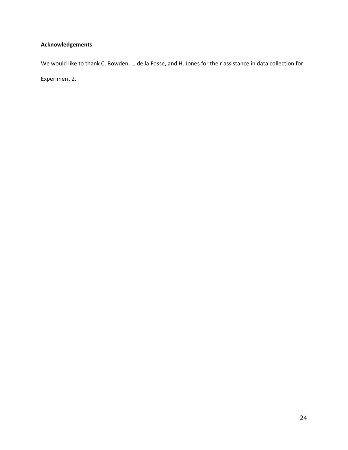# **Acknowledgements**

We would like to thank C. Bowden, L. de la Fosse, and H. Jones for their assistance in data collection for Experiment 2.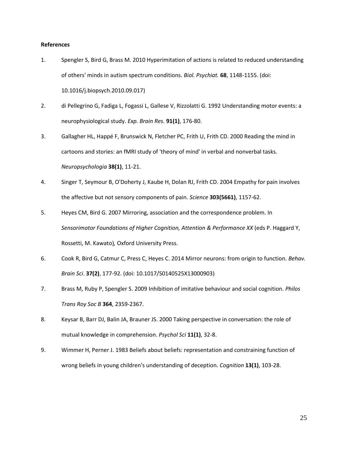## **References**

- 1. Spengler S, Bird G, Brass M. 2010 Hyperimitation of actions is related to reduced understanding of others' minds in autism spectrum conditions. *Biol. Psychiat.* **68**, 1148-1155. (doi: 10.1016/j.biopsych.2010.09.017)
- 2. di Pellegrino G, Fadiga L, Fogassi L, Gallese V, Rizzolatti G. 1992 Understanding motor events: a neurophysiological study. *Exp. Brain Res.* **91(1)**, 176-80.
- 3. Gallagher HL, Happé F, Brunswick N, Fletcher PC, Frith U, Frith CD. 2000 Reading the mind in cartoons and stories: an fMRI study of 'theory of mind' in verbal and nonverbal tasks. *Neuropsychologia* **38(1)**, 11-21.
- 4. Singer T, Seymour B, O'Doherty J, Kaube H, Dolan RJ, Frith CD. 2004 Empathy for pain involves the affective but not sensory components of pain. *Science* **303(5661)**, 1157-62.
- 5. Heyes CM, Bird G. 2007 Mirroring, association and the correspondence problem. In *Sensorimotor Foundations of Higher Cognition, Attention & Performance XX* (eds P. Haggard Y, Rossetti, M. Kawato)*,* Oxford University Press.
- 6. Cook R, Bird G, Catmur C, Press C, Heyes C. 2014 Mirror neurons: from origin to function. *Behav. Brain Sci*. **37(2)**, 177-92. (doi: 10.1017/S0140525X13000903)
- 7. Brass M, Ruby P, Spengler S. 2009 Inhibition of imitative behaviour and social cognition. *Philos Trans Roy Soc B* **364**, 2359-2367.
- 8. Keysar B, Barr DJ, Balin JA, Brauner JS. 2000 Taking perspective in conversation: the role of mutual knowledge in comprehension. *Psychol Sci* **11(1)**, 32-8.
- 9. Wimmer H, Perner J. 1983 Beliefs about beliefs: representation and constraining function of wrong beliefs in young children's understanding of deception. *Cognition* **13(1)**, 103-28.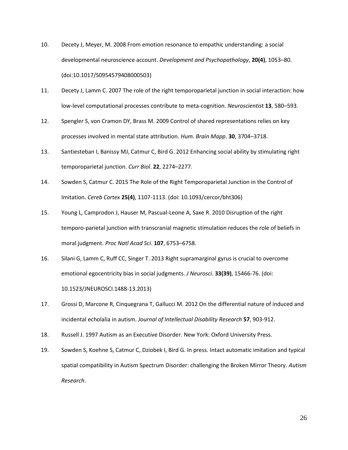- 10. Decety J, Meyer, M. 2008 From emotion resonance to empathic understanding: a social developmental neuroscience account. *Development and Psychopathology*, **20(4)**, 1053–80. (doi:10.1017/S0954579408000503)
- 11. Decety J, Lamm C. 2007 The role of the right temporoparietal junction in social interaction: how low-level computational processes contribute to meta-cognition. *Neuroscientis*t **13**, 580–593.
- 12. Spengler S, von Cramon DY, Brass M. 2009 Control of shared representations relies on key processes involved in mental state attribution. *Hum. Brain Mapp*. **30**, 3704–3718.
- 13. Santiesteban I, Banissy MJ, Catmur C, Bird G. 2012 Enhancing social ability by stimulating right temporoparietal junction. *Curr Biol*. **22**, 2274–2277.
- 14. Sowden S, Catmur C. 2015 The Role of the Right Temporoparietal Junction in the Control of Imitation. *Cereb Cortex* **25(4)**, 1107-1113. (doi: 10.1093/cercor/bht306)
- 15. Young L, Camprodon J, Hauser M, Pascual-Leone A, Saxe R. 2010 Disruption of the right temporo-parietal junction with transcranial magnetic stimulation reduces the role of beliefs in moral judgment. *Proc Natl Acad Sci*. **107**, 6753–6758.
- 16. Silani G, Lamm C, Ruff CC, Singer T. 2013 Right supramarginal gyrus is crucial to overcome emotional egocentricity bias in social judgments. *J Neurosci*. **33(39)**, 15466-76. (doi: 10.1523/JNEUROSCI.1488-13.2013)
- 17. Grossi D, Marcone R, Cinquegrana T, Gallucci M. 2012 On the differential nature of induced and incidental echolalia in autism. *Journal of Intellectual Disability Research* **57**, 903-912.
- 18. Russell J. 1997 Autism as an Executive Disorder. New York: Oxford University Press.
- 19. Sowden S, Koehne S, Catmur C, Dziobek I, Bird G. In press. Intact automatic imitation and typical spatial compatibility in Autism Spectrum Disorder: challenging the Broken Mirror Theory. *Autism Research*.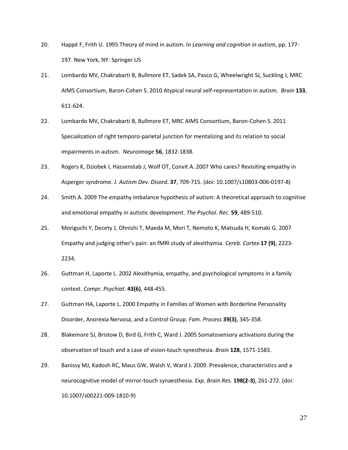- 20. Happé F, Frith U. 1995 Theory of mind in autism. In *Learning and cognition in autism*, pp. 177- 197. New York, NY: Springer US
- 21. Lombardo MV, Chakrabarti B, Bullmore ET, Sadek SA, Pasco G, Wheelwright SJ, Suckling J, MRC AIMS Consortium, Baron-Cohen S. 2010 Atypical neural self-representation in autism. *Brain* **133**, 611-624.
- 22. Lombardo MV, Chakrabarti B, Bullmore ET, MRC AIMS Consortium, Baron-Cohen S. 2011 Specialization of right temporo-parietal junction for mentalizing and its relation to social impairments in autism. *Neuroimage* **56**, 1832-1838.
- 23. Rogers K, Dziobek I, Hassenstab J, Wolf OT, Convit A. 2007 Who cares? Revisiting empathy in Asperger syndrome. *J. Autism Dev. Disord*. **37**, 709-715. (doi: 10.1007/s10803-006-0197-8)
- 24. Smith A. 2009 The empathy imbalance hypothesis of autism: A theoretical approach to cognitive and emotional empathy in autistic development. *The Psychol. Rec*. **59**, 489-510.
- 25. Moriguchi Y, Decety J, Ohnishi T, Maeda M, Mori T, Nemoto K, Matsuda H, Komaki G. 2007 Empathy and judging other's pain: an fMRI study of alexithymia. *Cereb. Cortex* **17 (9)**, 2223- 2234.
- 26. Guttman H, Laporte L. 2002 Alexithymia, empathy, and psychological symptoms in a family context. *Compr. Psychiat.* **43(6)**, 448-455.
- 27. Guttman HA, Laporte L. 2000 Empathy in Families of Women with Borderline Personality Disorder, Anorexia Nervosa, and a Control Group. *Fam. Process* **39(3)**, 345-358.
- 28. Blakemore SJ, Bristow D, Bird G, Frith C, Ward J. 2005 Somatosensory activations during the observation of touch and a case of vision-touch synesthesia. *Brain* **128**, 1571-1583.
- 29. Banissy MJ, Kadosh RC, Maus GW, Walsh V, Ward J. 2009. Prevalence, characteristics and a neurocognitive model of mirror-touch synaesthesia. *Exp. Brain Res.* **198(2-3)**, 261-272. (doi: 10.1007/s00221-009-1810-9)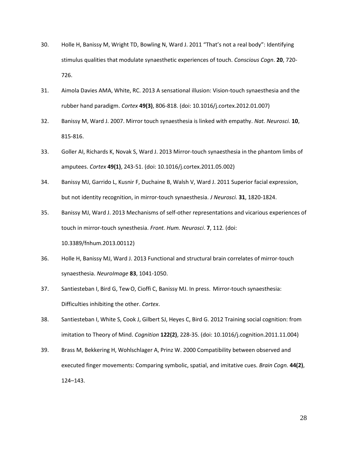- 30. Holle H, Banissy M, Wright TD, Bowling N, Ward J. 2011 "That's not a real body": Identifying stimulus qualities that modulate synaesthetic experiences of touch. *Conscious Cogn*. **20**, 720- 726.
- 31. Aimola Davies AMA, White, RC. 2013 A sensational illusion: Vision-touch synaesthesia and the rubber hand paradigm. *Cortex* **49(3)**, 806-818. (doi: 10.1016/j.cortex.2012.01.007)
- 32. Banissy M, Ward J. 2007. Mirror touch synaesthesia is linked with empathy. *Nat. Neurosci.* **10**, 815-816.
- 33. Goller AI, Richards K, Novak S, Ward J. 2013 Mirror-touch synaesthesia in the phantom limbs of amputees. *Cortex* **49(1)**, 243-51. (doi: 10.1016/j.cortex.2011.05.002)
- 34. Banissy MJ, Garrido L, Kusnir F, Duchaine B, Walsh V, Ward J. 2011 Superior facial expression, but not identity recognition, in mirror-touch synaesthesia. *J Neurosci.* **31**, 1820-1824.
- 35. Banissy MJ, Ward J. 2013 Mechanisms of self-other representations and vicarious experiences of touch in mirror-touch synesthesia. *Front. Hum. Neurosci*. **7**, 112*.* (doi: 10.3389/fnhum.2013.00112)
- 36. Holle H, Banissy MJ, Ward J. 2013 Functional and structural brain correlates of mirror-touch synaesthesia. *NeuroImage* **83**, 1041-1050.
- 37. Santiesteban I, Bird G, Tew O, Cioffi C, Banissy MJ. In press. Mirror-touch synaesthesia: Difficulties inhibiting the other. *Cortex*.
- 38. Santiesteban I, White S, Cook J, Gilbert SJ, Heyes C, Bird G. 2012 Training social cognition: from imitation to Theory of Mind. *Cognition* **122(2)**, 228-35. (doi: 10.1016/j.cognition.2011.11.004)
- 39. Brass M, Bekkering H, Wohlschlager A, Prinz W. 2000 Compatibility between observed and executed finger movements: Comparing symbolic, spatial, and imitative cues. *Brain Cogn.* **44(2)**, 124–143.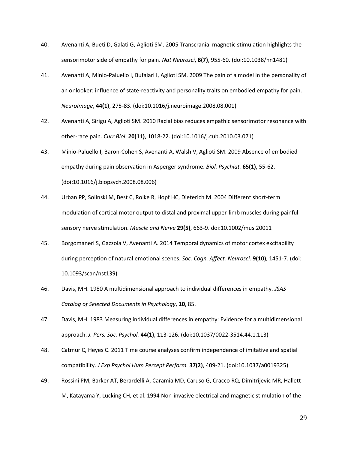- 40. Avenanti A, Bueti D, Galati G, Aglioti SM. 2005 Transcranial magnetic stimulation highlights the sensorimotor side of empathy for pain. *Nat Neurosci*, **8(7)**, 955-60. (doi:10.1038/nn1481)
- 41. Avenanti A, Minio-Paluello I, Bufalari I, Aglioti SM. 2009 The pain of a model in the personality of an onlooker: influence of state-reactivity and personality traits on embodied empathy for pain. *NeuroImage*, **44(1)**, 275-83. (doi:10.1016/j.neuroimage.2008.08.001)
- 42. Avenanti A, Sirigu A, Aglioti SM. 2010 Racial bias reduces empathic sensorimotor resonance with other-race pain. *Curr Biol*. **20(11)**, 1018-22. (doi:10.1016/j.cub.2010.03.071)
- 43. Minio-Paluello I, Baron-Cohen S, Avenanti A, Walsh V, Aglioti SM. 2009 Absence of embodied empathy during pain observation in Asperger syndrome. *Biol. Psychiat.* **65(1),** 55-62. (doi:10.1016/j.biopsych.2008.08.006)
- 44. Urban PP, Solinski M, Best C, Rolke R, Hopf HC, Dieterich M. 2004 Different short-term modulation of cortical motor output to distal and proximal upper-limb muscles during painful sensory nerve stimulation. *Muscle and Nerve* **29(5)**, 663-9. doi:10.1002/mus.20011
- 45. Borgomaneri S, Gazzola V, Avenanti A. 2014 Temporal dynamics of motor cortex excitability during perception of natural emotional scenes. *Soc. Cogn. Affect. Neurosci.* **9(10)**, 1451-7. (doi: 10.1093/scan/nst139)
- 46. Davis, MH. 1980 A multidimensional approach to individual differences in empathy*. JSAS Catalog of Selected Documents in Psychology*, **10**, 85.
- 47. Davis, MH. 1983 Measuring individual differences in empathy: Evidence for a multidimensional approach. *J. Pers. Soc. Psychol.* **44(1)**, 113-126. (doi:10.1037/0022-3514.44.1.113)
- 48. Catmur C, Heyes C. 2011 Time course analyses confirm independence of imitative and spatial compatibility. *J Exp Psychol Hum Percept Perform.* **37(2)**, 409-21. (doi:10.1037/a0019325)
- 49. Rossini PM, Barker AT, Berardelli A, Caramia MD, Caruso G, Cracco RQ, Dimitrijevic MR, Hallett M, Katayama Y, Lucking CH, et al. 1994 Non-invasive electrical and magnetic stimulation of the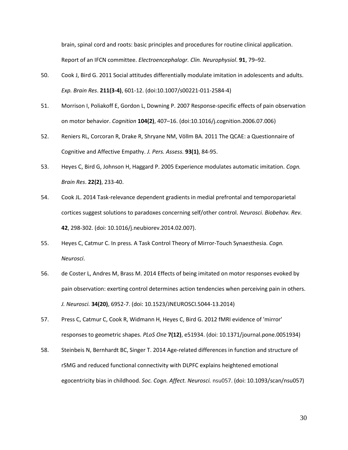brain, spinal cord and roots: basic principles and procedures for routine clinical application. Report of an IFCN committee. *Electroencephalogr. Clin. Neurophysiol*. **91**, 79–92.

- 50. Cook J, Bird G. 2011 Social attitudes differentially modulate imitation in adolescents and adults. *Exp. Brain Res*. **211(3-4)**, 601-12. (doi:10.1007/s00221-011-2584-4)
- 51. Morrison I, Poliakoff E, Gordon L, Downing P. 2007 Response-specific effects of pain observation on motor behavior. *Cognition* **104(2)**, 407–16. (doi:10.1016/j.cognition.2006.07.006)
- 52. Reniers RL, Corcoran R, Drake R, Shryane NM, Völlm BA. 2011 The QCAE: a Questionnaire of Cognitive and Affective Empathy. *J. Pers. Assess.* **93(1)**, 84-95.
- 53. Heyes C, Bird G, Johnson H, Haggard P. 2005 Experience modulates automatic imitation. *Cogn. Brain Res*. **22(2)**, 233-40.
- 54. Cook JL. 2014 Task-relevance dependent gradients in medial prefrontal and temporoparietal cortices suggest solutions to paradoxes concerning self/other control. *Neurosci. Biobehav. Rev.* **42**, 298-302. (doi: 10.1016/j.neubiorev.2014.02.007).
- 55. Heyes C, Catmur C. In press. A Task Control Theory of Mirror-Touch Synaesthesia. *Cogn. Neurosci*.
- 56. de Coster L, Andres M, Brass M. 2014 Effects of being imitated on motor responses evoked by pain observation: exerting control determines action tendencies when perceiving pain in others. *J. Neurosci.* **34(20)**, 6952-7. (doi: 10.1523/JNEUROSCI.5044-13.2014)
- 57. Press C, Catmur C, Cook R, Widmann H, Heyes C, Bird G. 2012 fMRI evidence of 'mirror' responses to geometric shapes. *PLoS One* **7(12)**, e51934. (doi: 10.1371/journal.pone.0051934)
- 58. Steinbeis N, Bernhardt BC, Singer T. 2014 Age-related differences in function and structure of rSMG and reduced functional connectivity with DLPFC explains heightened emotional egocentricity bias in childhood. *Soc. Cogn. Affect. Neurosci.* nsu057. (doi: 10.1093/scan/nsu057)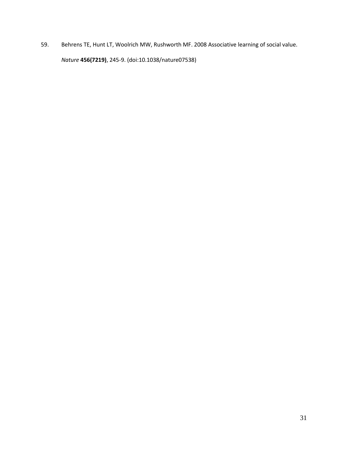59. Behrens TE, Hunt LT, Woolrich MW, Rushworth MF. 2008 Associative learning of social value. *Nature* **456(7219)**, 245-9. (doi:10.1038/nature07538)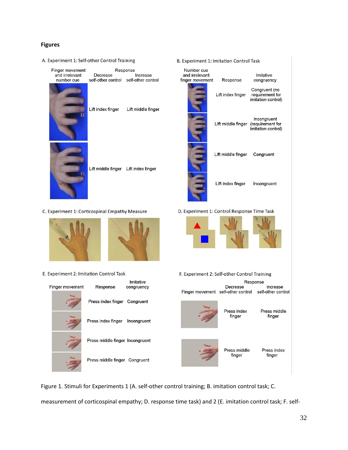# **Figures**

A. Experiment 1: Self-other Control Training

| Decrease<br>self-other control self-other control | Increase           |
|---------------------------------------------------|--------------------|
|                                                   |                    |
|                                                   |                    |
| Lift index finger                                 | Lift middle finger |
| Lift middle finger Lift index finger              |                    |
|                                                   |                    |

| Lift index finger | Lift middle finger |
|-------------------|--------------------|
|                   |                    |

Response

Lift middle finger Lift index finger

C. Experiment 1: Corticospinal Empathy Measure



E. Experiment 2: Imitation Control Task



B. Experiment 1: Imitation Control Task

| Number cue<br>and irrelevant<br>finger movement | Response                            | Imitative<br>congruency                                |
|-------------------------------------------------|-------------------------------------|--------------------------------------------------------|
|                                                 | Lift index finger                   | Congruent (no<br>requirement for<br>imitation control) |
|                                                 | Lift middle finger (requirement for | Incongruent<br>imitation control)                      |
|                                                 | Lift middle finger                  | Congruent                                              |
|                                                 | Lift index finger                   | Incongruent                                            |

D. Experiment 1: Control Response Time Task

∾



F. Experiment 2: Self-other Control Training



Figure 1. Stimuli for Experiments 1 (A. self-other control training; B. imitation control task; C.

measurement of corticospinal empathy; D. response time task) and 2 (E. imitation control task; F. self-